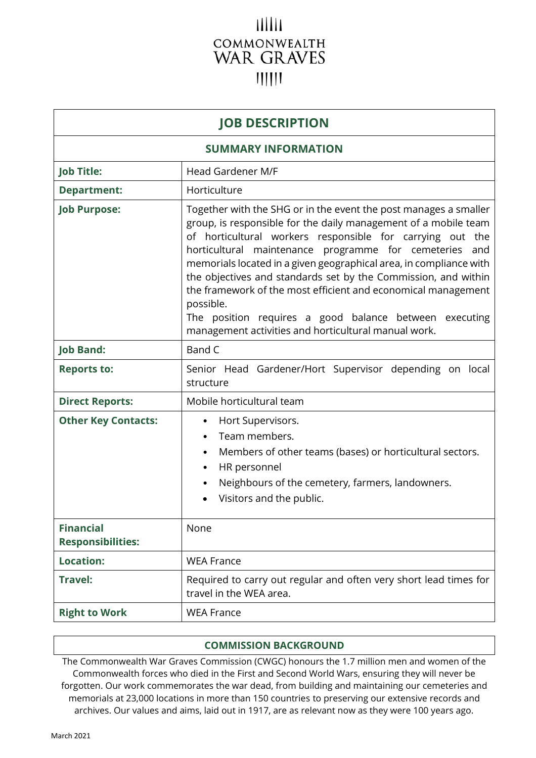# $11111$ COMMONWEALTH **WAR GRAVES**  $11111$

| <b>JOB DESCRIPTION</b>                       |                                                                                                                                                                                                                                                                                                                                                                                                                                                                                                                                                                                                    |
|----------------------------------------------|----------------------------------------------------------------------------------------------------------------------------------------------------------------------------------------------------------------------------------------------------------------------------------------------------------------------------------------------------------------------------------------------------------------------------------------------------------------------------------------------------------------------------------------------------------------------------------------------------|
| <b>SUMMARY INFORMATION</b>                   |                                                                                                                                                                                                                                                                                                                                                                                                                                                                                                                                                                                                    |
| <b>Job Title:</b>                            | <b>Head Gardener M/F</b>                                                                                                                                                                                                                                                                                                                                                                                                                                                                                                                                                                           |
| <b>Department:</b>                           | Horticulture                                                                                                                                                                                                                                                                                                                                                                                                                                                                                                                                                                                       |
| <b>Job Purpose:</b>                          | Together with the SHG or in the event the post manages a smaller<br>group, is responsible for the daily management of a mobile team<br>of horticultural workers responsible for carrying out the<br>horticultural maintenance programme for cemeteries and<br>memorials located in a given geographical area, in compliance with<br>the objectives and standards set by the Commission, and within<br>the framework of the most efficient and economical management<br>possible.<br>The position requires a good balance between executing<br>management activities and horticultural manual work. |
| <b>Job Band:</b>                             | Band C                                                                                                                                                                                                                                                                                                                                                                                                                                                                                                                                                                                             |
| <b>Reports to:</b>                           | Senior Head Gardener/Hort Supervisor depending on local<br>structure                                                                                                                                                                                                                                                                                                                                                                                                                                                                                                                               |
| <b>Direct Reports:</b>                       | Mobile horticultural team                                                                                                                                                                                                                                                                                                                                                                                                                                                                                                                                                                          |
| <b>Other Key Contacts:</b>                   | Hort Supervisors.<br>٠<br>Team members.<br>Members of other teams (bases) or horticultural sectors.<br>HR personnel<br>٠<br>Neighbours of the cemetery, farmers, landowners.<br>Visitors and the public.                                                                                                                                                                                                                                                                                                                                                                                           |
| <b>Financial</b><br><b>Responsibilities:</b> | None                                                                                                                                                                                                                                                                                                                                                                                                                                                                                                                                                                                               |
| <b>Location:</b>                             | <b>WEA France</b>                                                                                                                                                                                                                                                                                                                                                                                                                                                                                                                                                                                  |
| <b>Travel:</b>                               | Required to carry out regular and often very short lead times for<br>travel in the WEA area.                                                                                                                                                                                                                                                                                                                                                                                                                                                                                                       |
| <b>Right to Work</b>                         | <b>WEA France</b>                                                                                                                                                                                                                                                                                                                                                                                                                                                                                                                                                                                  |

## **COMMISSION BACKGROUND**

The Commonwealth War Graves Commission (CWGC) honours the 1.7 million men and women of the Commonwealth forces who died in the First and Second World Wars, ensuring they will never be forgotten. Our work commemorates the war dead, from building and maintaining our cemeteries and memorials at 23,000 locations in more than 150 countries to preserving our extensive records and archives. Our values and aims, laid out in 1917, are as relevant now as they were 100 years ago.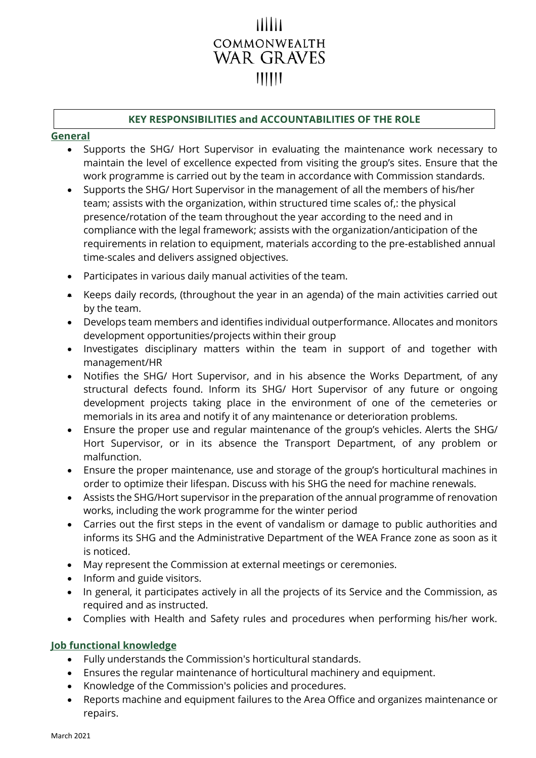# IIIII COMMONWEALTH **WAR GRAVES**  $111111$

## **KEY RESPONSIBILITIES and ACCOUNTABILITIES OF THE ROLE**

#### **General**

- Supports the SHG/ Hort Supervisor in evaluating the maintenance work necessary to maintain the level of excellence expected from visiting the group's sites. Ensure that the work programme is carried out by the team in accordance with Commission standards.
- Supports the SHG/ Hort Supervisor in the management of all the members of his/her team; assists with the organization, within structured time scales of,: the physical presence/rotation of the team throughout the year according to the need and in compliance with the legal framework; assists with the organization/anticipation of the requirements in relation to equipment, materials according to the pre-established annual time-scales and delivers assigned objectives.
- Participates in various daily manual activities of the team.
- Keeps daily records, (throughout the year in an agenda) of the main activities carried out by the team.
- Develops team members and identifies individual outperformance. Allocates and monitors development opportunities/projects within their group
- Investigates disciplinary matters within the team in support of and together with management/HR
- Notifies the SHG/ Hort Supervisor, and in his absence the Works Department, of any structural defects found. Inform its SHG/ Hort Supervisor of any future or ongoing development projects taking place in the environment of one of the cemeteries or memorials in its area and notify it of any maintenance or deterioration problems.
- Ensure the proper use and regular maintenance of the group's vehicles. Alerts the SHG/ Hort Supervisor, or in its absence the Transport Department, of any problem or malfunction.
- Ensure the proper maintenance, use and storage of the group's horticultural machines in order to optimize their lifespan. Discuss with his SHG the need for machine renewals.
- Assists the SHG/Hort supervisor in the preparation of the annual programme of renovation works, including the work programme for the winter period
- Carries out the first steps in the event of vandalism or damage to public authorities and informs its SHG and the Administrative Department of the WEA France zone as soon as it is noticed.
- May represent the Commission at external meetings or ceremonies.
- Inform and guide visitors.
- In general, it participates actively in all the projects of its Service and the Commission, as required and as instructed.
- Complies with Health and Safety rules and procedures when performing his/her work.

## **Job functional knowledge**

- Fully understands the Commission's horticultural standards.
- Ensures the regular maintenance of horticultural machinery and equipment.
- Knowledge of the Commission's policies and procedures.
- Reports machine and equipment failures to the Area Office and organizes maintenance or repairs.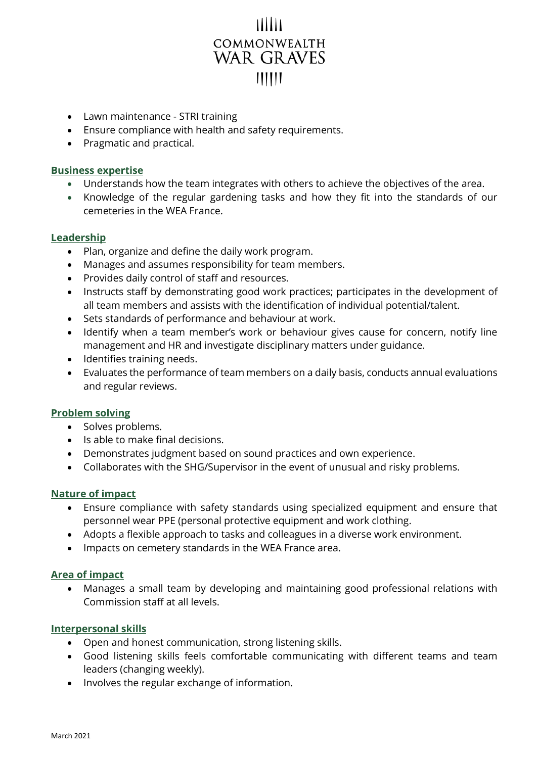# THIT COMMONWEALTH **WAR GRAVES**  $111111$

- Lawn maintenance STRI training
- Ensure compliance with health and safety requirements.
- Pragmatic and practical.

#### **Business expertise**

- Understands how the team integrates with others to achieve the objectives of the area.
- Knowledge of the regular gardening tasks and how they fit into the standards of our cemeteries in the WEA France.

#### **Leadership**

- Plan, organize and define the daily work program.
- Manages and assumes responsibility for team members.
- Provides daily control of staff and resources.
- Instructs staff by demonstrating good work practices; participates in the development of all team members and assists with the identification of individual potential/talent.
- Sets standards of performance and behaviour at work.
- Identify when a team member's work or behaviour gives cause for concern, notify line management and HR and investigate disciplinary matters under guidance.
- Identifies training needs.
- Evaluates the performance of team members on a daily basis, conducts annual evaluations and regular reviews.

## **Problem solving**

- Solves problems.
- Is able to make final decisions.
- Demonstrates judgment based on sound practices and own experience.
- Collaborates with the SHG/Supervisor in the event of unusual and risky problems.

## **Nature of impact**

- Ensure compliance with safety standards using specialized equipment and ensure that personnel wear PPE (personal protective equipment and work clothing.
- Adopts a flexible approach to tasks and colleagues in a diverse work environment.
- Impacts on cemetery standards in the WEA France area.

## **Area of impact**

• Manages a small team by developing and maintaining good professional relations with Commission staff at all levels.

## **Interpersonal skills**

- Open and honest communication, strong listening skills.
- Good listening skills feels comfortable communicating with different teams and team leaders (changing weekly).
- Involves the regular exchange of information.